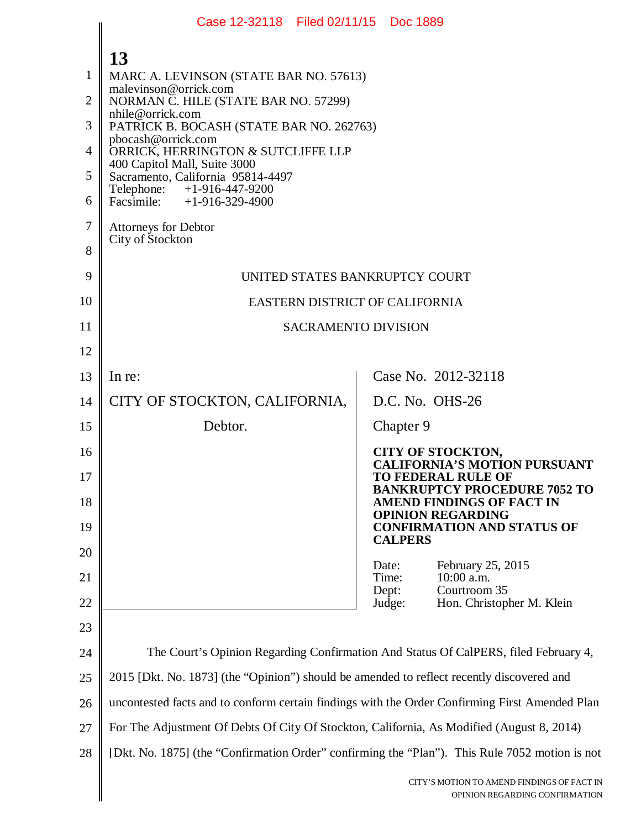|                                                   | Case 12-32118 Filed 02/11/15 Doc 1889                                                                                                                                                                                                                                                                                                                                                                                    |                                                                                                     |
|---------------------------------------------------|--------------------------------------------------------------------------------------------------------------------------------------------------------------------------------------------------------------------------------------------------------------------------------------------------------------------------------------------------------------------------------------------------------------------------|-----------------------------------------------------------------------------------------------------|
| 1<br>2<br>3<br>$\overline{4}$<br>5<br>6<br>7<br>8 | 13<br>MARC A. LEVINSON (STATE BAR NO. 57613)<br>malevinson@orrick.com<br>NORMAN C. HILE (STATE BAR NO. 57299)<br>nhile@orrick.com<br>PATRICK B. BOCASH (STATE BAR NO. 262763)<br>pbocash@orrick.com<br>ORRICK, HERRINGTON & SUTCLIFFE LLP<br>400 Capitol Mall, Suite 3000<br>Sacramento, California 95814-4497<br>Telephone: +1-916-447-9200<br>Facsimile: $+1-916-329-4900$<br>Attorneys for Debtor<br>City of Stockton |                                                                                                     |
| 9                                                 | UNITED STATES BANKRUPTCY COURT                                                                                                                                                                                                                                                                                                                                                                                           |                                                                                                     |
| 10                                                | EASTERN DISTRICT OF CALIFORNIA                                                                                                                                                                                                                                                                                                                                                                                           |                                                                                                     |
| 11                                                | <b>SACRAMENTO DIVISION</b>                                                                                                                                                                                                                                                                                                                                                                                               |                                                                                                     |
| 12                                                |                                                                                                                                                                                                                                                                                                                                                                                                                          |                                                                                                     |
| 13                                                | In re:                                                                                                                                                                                                                                                                                                                                                                                                                   | Case No. 2012-32118                                                                                 |
| 14                                                | CITY OF STOCKTON, CALIFORNIA,                                                                                                                                                                                                                                                                                                                                                                                            | D.C. No. OHS-26                                                                                     |
| 15                                                | Debtor.                                                                                                                                                                                                                                                                                                                                                                                                                  | Chapter 9                                                                                           |
| 16<br>17                                          |                                                                                                                                                                                                                                                                                                                                                                                                                          | <b>CITY OF STOCKTON,</b><br><b>CALIFORNIA'S MOTION PURSUANT</b><br><b>TO FEDERAL RULE OF</b>        |
| 18                                                |                                                                                                                                                                                                                                                                                                                                                                                                                          | <b>BANKRUPTCY PROCEDURE 7052 TO</b><br><b>AMEND FINDINGS OF FACT IN</b><br><b>OPINION REGARDING</b> |
| 19                                                |                                                                                                                                                                                                                                                                                                                                                                                                                          | <b>CONFIRMATION AND STATUS OF</b><br><b>CALPERS</b>                                                 |
| 20                                                |                                                                                                                                                                                                                                                                                                                                                                                                                          | February 25, 2015<br>Date:                                                                          |
| 21<br>22                                          |                                                                                                                                                                                                                                                                                                                                                                                                                          | $10:00$ a.m.<br>Time:<br>Courtroom 35<br>Dept:<br>Hon. Christopher M. Klein<br>Judge:               |
| 23                                                |                                                                                                                                                                                                                                                                                                                                                                                                                          |                                                                                                     |
| 24                                                |                                                                                                                                                                                                                                                                                                                                                                                                                          | The Court's Opinion Regarding Confirmation And Status Of CalPERS, filed February 4,                 |
| 25                                                | 2015 [Dkt. No. 1873] (the "Opinion") should be amended to reflect recently discovered and                                                                                                                                                                                                                                                                                                                                |                                                                                                     |
| 26                                                | uncontested facts and to conform certain findings with the Order Confirming First Amended Plan                                                                                                                                                                                                                                                                                                                           |                                                                                                     |
| 27                                                | For The Adjustment Of Debts Of City Of Stockton, California, As Modified (August 8, 2014)                                                                                                                                                                                                                                                                                                                                |                                                                                                     |
| 28                                                | [Dkt. No. 1875] (the "Confirmation Order" confirming the "Plan"). This Rule 7052 motion is not                                                                                                                                                                                                                                                                                                                           |                                                                                                     |
|                                                   |                                                                                                                                                                                                                                                                                                                                                                                                                          | CITY'S MOTION TO AMEND FINDINGS OF FACT IN<br>OPINION REGARDING CONFIRMATION                        |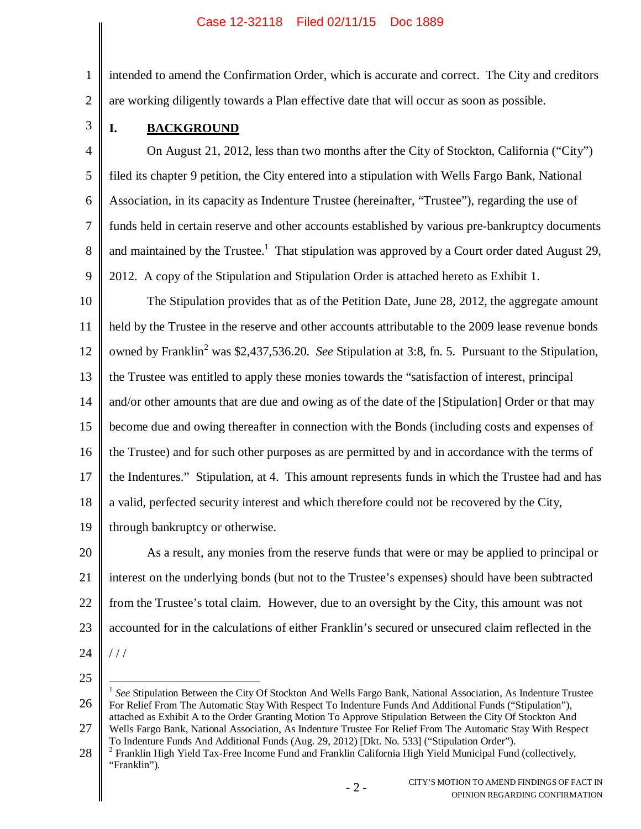## Case 12-32118 Filed 02/11/15 Doc 1889

intended to amend the Confirmation Order, which is accurate and correct. The City and creditors are working diligently towards a Plan effective date that will occur as soon as possible.

3

1

2

# **I. BACKGROUND**

4 5 6 7 8 9 On August 21, 2012, less than two months after the City of Stockton, California ("City") filed its chapter 9 petition, the City entered into a stipulation with Wells Fargo Bank, National Association, in its capacity as Indenture Trustee (hereinafter, "Trustee"), regarding the use of funds held in certain reserve and other accounts established by various pre-bankruptcy documents and maintained by the Trustee.<sup>1</sup> That stipulation was approved by a Court order dated August 29, 2012. A copy of the Stipulation and Stipulation Order is attached hereto as Exhibit 1.

10 11 12 13 14 15 16 17 18 19 The Stipulation provides that as of the Petition Date, June 28, 2012, the aggregate amount held by the Trustee in the reserve and other accounts attributable to the 2009 lease revenue bonds owned by Franklin<sup>2</sup> was \$2,437,536.20. *See* Stipulation at 3:8, fn. 5. Pursuant to the Stipulation, the Trustee was entitled to apply these monies towards the "satisfaction of interest, principal and/or other amounts that are due and owing as of the date of the [Stipulation] Order or that may become due and owing thereafter in connection with the Bonds (including costs and expenses of the Trustee) and for such other purposes as are permitted by and in accordance with the terms of the Indentures." Stipulation, at 4. This amount represents funds in which the Trustee had and has a valid, perfected security interest and which therefore could not be recovered by the City, through bankruptcy or otherwise.

20 21 22 23 24 As a result, any monies from the reserve funds that were or may be applied to principal or interest on the underlying bonds (but not to the Trustee's expenses) should have been subtracted from the Trustee's total claim. However, due to an oversight by the City, this amount was not accounted for in the calculations of either Franklin's secured or unsecured claim reflected in the  $111$ 

25

26 27 <sup>1</sup> See Stipulation Between the City Of Stockton And Wells Fargo Bank, National Association, As Indenture Trustee For Relief From The Automatic Stay With Respect To Indenture Funds And Additional Funds ("Stipulation"), attached as Exhibit A to the Order Granting Motion To Approve Stipulation Between the City Of Stockton And Wells Fargo Bank, National Association, As Indenture Trustee For Relief From The Automatic Stay With Respect

28 <sup>2</sup> Franklin High Yield Tax-Free Income Fund and Franklin California High Yield Municipal Fund (collectively, "Franklin").

To Indenture Funds And Additional Funds (Aug. 29, 2012) [Dkt. No. 533] ("Stipulation Order").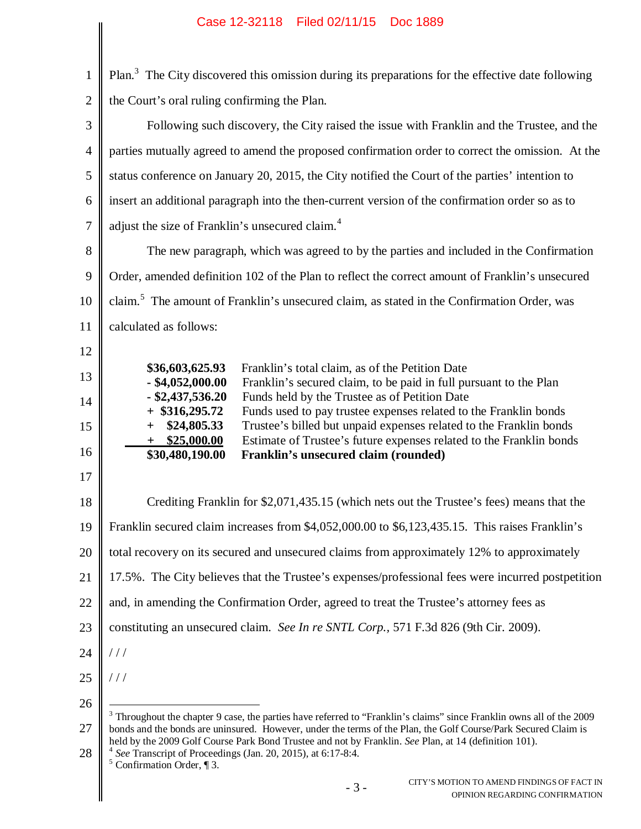# Case 12-32118 Filed 02/11/15 Doc 1889

|                | Case TS-92110 Liled 02/11/19 DOC 1009                                                                                                                                                                                                                                                                                     |  |
|----------------|---------------------------------------------------------------------------------------------------------------------------------------------------------------------------------------------------------------------------------------------------------------------------------------------------------------------------|--|
| $\mathbf{1}$   | Plan. <sup>3</sup> The City discovered this omission during its preparations for the effective date following                                                                                                                                                                                                             |  |
| $\overline{2}$ | the Court's oral ruling confirming the Plan.                                                                                                                                                                                                                                                                              |  |
| 3              | Following such discovery, the City raised the issue with Franklin and the Trustee, and the                                                                                                                                                                                                                                |  |
| $\overline{4}$ | parties mutually agreed to amend the proposed confirmation order to correct the omission. At the                                                                                                                                                                                                                          |  |
| 5              | status conference on January 20, 2015, the City notified the Court of the parties' intention to                                                                                                                                                                                                                           |  |
| 6              | insert an additional paragraph into the then-current version of the confirmation order so as to                                                                                                                                                                                                                           |  |
| $\tau$         | adjust the size of Franklin's unsecured claim. <sup>4</sup>                                                                                                                                                                                                                                                               |  |
| 8              | The new paragraph, which was agreed to by the parties and included in the Confirmation                                                                                                                                                                                                                                    |  |
| 9              | Order, amended definition 102 of the Plan to reflect the correct amount of Franklin's unsecured                                                                                                                                                                                                                           |  |
| 10             | claim. <sup>5</sup> The amount of Franklin's unsecured claim, as stated in the Confirmation Order, was                                                                                                                                                                                                                    |  |
| 11             | calculated as follows:                                                                                                                                                                                                                                                                                                    |  |
| 12             |                                                                                                                                                                                                                                                                                                                           |  |
| 13             | Franklin's total claim, as of the Petition Date<br>\$36,603,625.93<br>$-$ \$4,052,000.00<br>Franklin's secured claim, to be paid in full pursuant to the Plan                                                                                                                                                             |  |
| 14             | $-$ \$2,437,536.20<br>Funds held by the Trustee as of Petition Date<br>$+$ \$316,295.72<br>Funds used to pay trustee expenses related to the Franklin bonds                                                                                                                                                               |  |
| 15             | Trustee's billed but unpaid expenses related to the Franklin bonds<br>\$24,805.33<br>$+$<br>Estimate of Trustee's future expenses related to the Franklin bonds<br>\$25,000.00<br>$+$                                                                                                                                     |  |
| 16             | \$30,480,190.00<br>Franklin's unsecured claim (rounded)                                                                                                                                                                                                                                                                   |  |
| 17             |                                                                                                                                                                                                                                                                                                                           |  |
| 18             | Crediting Franklin for \$2,071,435.15 (which nets out the Trustee's fees) means that the                                                                                                                                                                                                                                  |  |
| 19             | Franklin secured claim increases from \$4,052,000.00 to \$6,123,435.15. This raises Franklin's                                                                                                                                                                                                                            |  |
| 20             | total recovery on its secured and unsecured claims from approximately 12% to approximately                                                                                                                                                                                                                                |  |
| 21             | 17.5%. The City believes that the Trustee's expenses/professional fees were incurred postpetition                                                                                                                                                                                                                         |  |
| 22             | and, in amending the Confirmation Order, agreed to treat the Trustee's attorney fees as                                                                                                                                                                                                                                   |  |
| 23             | constituting an unsecured claim. See In re SNTL Corp., 571 F.3d 826 (9th Cir. 2009).                                                                                                                                                                                                                                      |  |
| 24             | //                                                                                                                                                                                                                                                                                                                        |  |
| 25             | //                                                                                                                                                                                                                                                                                                                        |  |
| 26             | $3$ Throughout the chapter 9 case, the parties have referred to "Franklin's claims" since Franklin owns all of the 2009                                                                                                                                                                                                   |  |
| 27<br>28       | bonds and the bonds are uninsured. However, under the terms of the Plan, the Golf Course/Park Secured Claim is<br>held by the 2009 Golf Course Park Bond Trustee and not by Franklin. See Plan, at 14 (definition 101).<br>See Transcript of Proceedings (Jan. 20, 2015), at 6:17-8:4.<br>$5$ Confirmation Order, $\P$ 3. |  |
|                | CITY'S MOTION TO AMEND FINDINGS OF FACT IN<br>$-3-$<br>OPINION REGARDING CONFIRMATION                                                                                                                                                                                                                                     |  |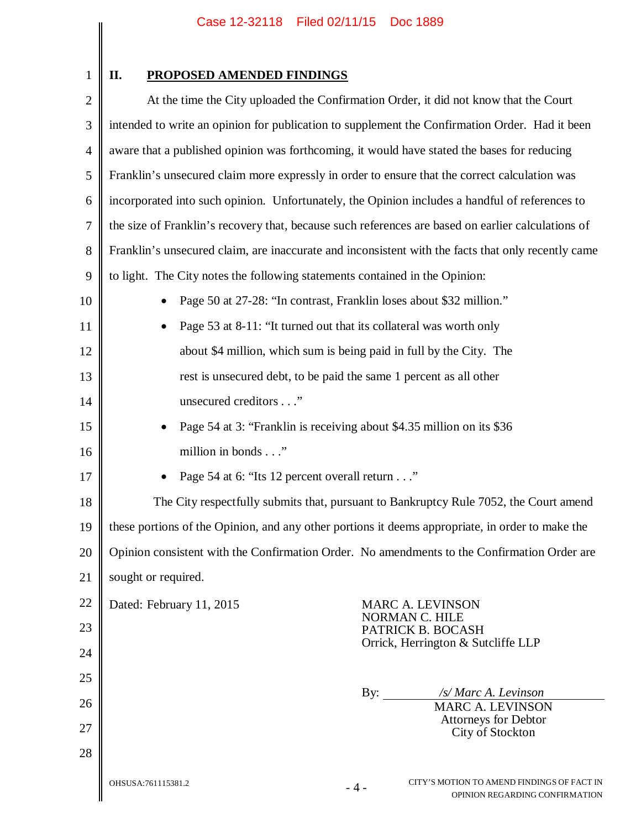1

# **II. PROPOSED AMENDED FINDINGS**

| $\mathbf{2}$   | At the time the City uploaded the Confirmation Order, it did not know that the Court                        |  |
|----------------|-------------------------------------------------------------------------------------------------------------|--|
| 3              | intended to write an opinion for publication to supplement the Confirmation Order. Had it been              |  |
| $\overline{4}$ | aware that a published opinion was forthcoming, it would have stated the bases for reducing                 |  |
| 5              | Franklin's unsecured claim more expressly in order to ensure that the correct calculation was               |  |
| 6              | incorporated into such opinion. Unfortunately, the Opinion includes a handful of references to              |  |
| 7              | the size of Franklin's recovery that, because such references are based on earlier calculations of          |  |
| 8              | Franklin's unsecured claim, are inaccurate and inconsistent with the facts that only recently came          |  |
| 9              | to light. The City notes the following statements contained in the Opinion:                                 |  |
| 10             | Page 50 at 27-28: "In contrast, Franklin loses about \$32 million."                                         |  |
| 11             | Page 53 at 8-11: "It turned out that its collateral was worth only                                          |  |
| 12             | about \$4 million, which sum is being paid in full by the City. The                                         |  |
| 13             | rest is unsecured debt, to be paid the same 1 percent as all other                                          |  |
| 14             | unsecured creditors"                                                                                        |  |
| 15             | Page 54 at 3: "Franklin is receiving about \$4.35 million on its \$36                                       |  |
| 16             | million in bonds"                                                                                           |  |
| 17             | Page 54 at 6: "Its 12 percent overall return"                                                               |  |
| 18             | The City respectfully submits that, pursuant to Bankruptcy Rule 7052, the Court amend                       |  |
| 19             | these portions of the Opinion, and any other portions it deems appropriate, in order to make the            |  |
| 20             | Opinion consistent with the Confirmation Order. No amendments to the Confirmation Order are                 |  |
| 21             | sought or required.                                                                                         |  |
| 22             | Dated: February 11, 2015<br><b>MARC A. LEVINSON</b>                                                         |  |
| 23             | NORMAN C. HILE<br>PATRICK B. BOCASH                                                                         |  |
| 24             | Orrick, Herrington & Sutcliffe LLP                                                                          |  |
| 25             |                                                                                                             |  |
| 26             | By:<br>/s/ Marc A. Levinson<br><b>MARC A. LEVINSON</b>                                                      |  |
| 27             | <b>Attorneys for Debtor</b><br>City of Stockton                                                             |  |
| 28             |                                                                                                             |  |
|                | CITY'S MOTION TO AMEND FINDINGS OF FACT IN<br>OHSUSA:761115381.2<br>$-4-$<br>OPINION REGARDING CONFIRMATION |  |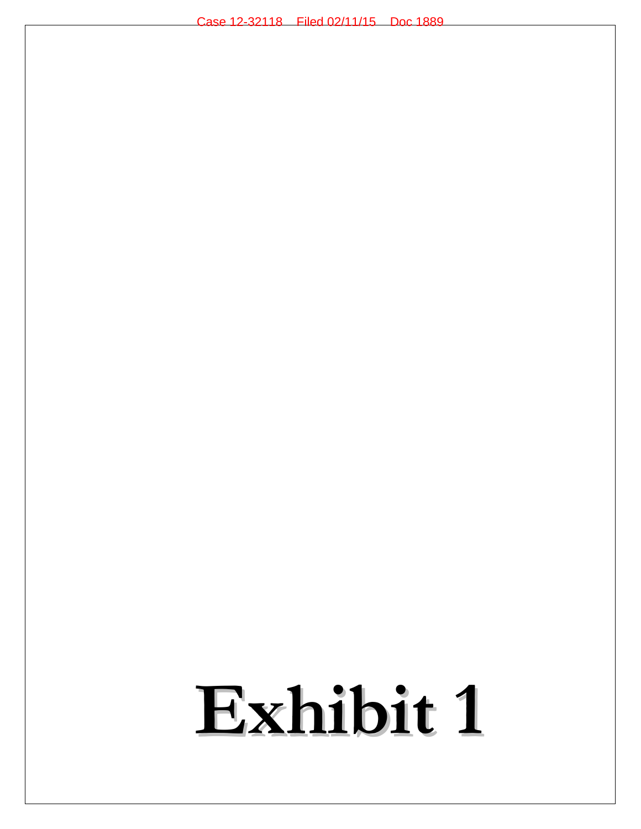# **Exhibit 1**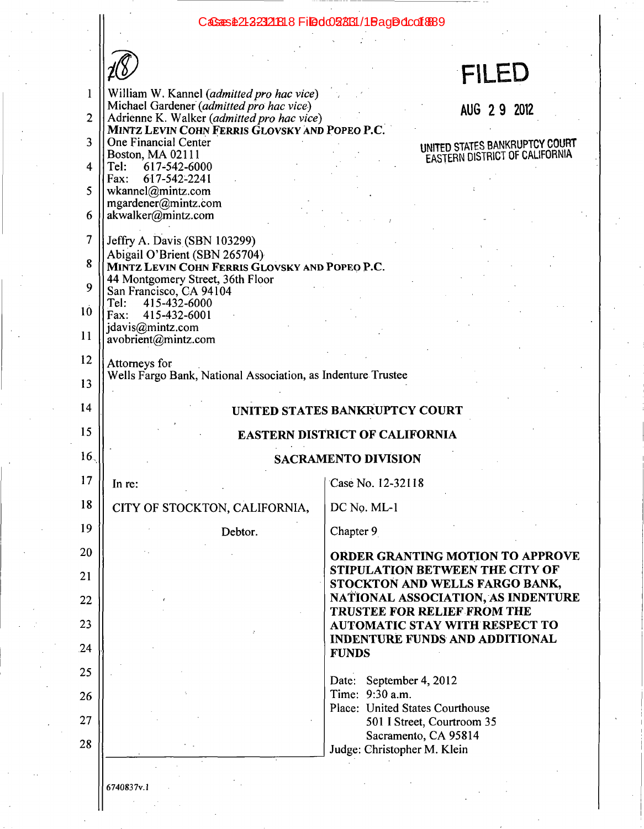# CaSans \$21232121818 Filed 028031/1 Bag Ddcof \$89

| ľ<br>I, |
|---------|
| ٢.      |
|         |

# FILED

| $\mathbf{1}$   | William W. Kannel (admitted pro hac vice)<br>Michael Gardener (admitted pro hac vice)        | AUG 2 9 2012                                                                      |
|----------------|----------------------------------------------------------------------------------------------|-----------------------------------------------------------------------------------|
| $\overline{2}$ | Adrienne K. Walker (admitted pro hac vice)<br>MINTZ LEVIN COHN FERRIS GLOVSKY AND POPEO P.C. |                                                                                   |
| 3              | One Financial Center<br>Boston, MA 02111                                                     | UNITED STATES BANKRUPTCY COURT                                                    |
| 4              | 617-542-6000<br>Tel:                                                                         | EASTERN DISTRICT OF CALIFORNIA                                                    |
| 5              | 617-542-2241<br>Fax:<br>wkannel@mintz.com                                                    |                                                                                   |
| 6              | mgardener@mintz.com<br>akwalker@mintz.com                                                    |                                                                                   |
| 7              | Jeffry A. Davis (SBN 103299)                                                                 |                                                                                   |
| 8              | Abigail O'Brient (SBN 265704)<br>MINTZ LEVIN COHN FERRIS GLOVSKY AND POPEO P.C.              |                                                                                   |
| 9              | 44 Montgomery Street, 36th Floor                                                             |                                                                                   |
|                | San Francisco, CA 94104<br>Tel:<br>415-432-6000                                              |                                                                                   |
| 10             | 415-432-6001<br>Fax:<br>jdavis@mintz.com                                                     |                                                                                   |
| 11             | avobrient@mintz.com                                                                          |                                                                                   |
| 12             | Attorneys for                                                                                |                                                                                   |
| 13             | Wells Fargo Bank, National Association, as Indenture Trustee                                 |                                                                                   |
| 14             |                                                                                              | UNITED STATES BANKRUPTCY COURT                                                    |
| 15             |                                                                                              | <b>EASTERN DISTRICT OF CALIFORNIA</b>                                             |
| 16.            |                                                                                              | <b>SACRAMENTO DIVISION</b>                                                        |
| 17             | In re:                                                                                       | Case No. 12-32118                                                                 |
| 18             | CITY OF STOCKTON, CALIFORNIA,                                                                | DC No. ML-1                                                                       |
| 19             | Debtor.                                                                                      | Chapter 9                                                                         |
| 20             |                                                                                              |                                                                                   |
|                |                                                                                              | <b>ORDER GRANTING MOTION TO APPROVE</b>                                           |
| 21             |                                                                                              | STIPULATION BETWEEN THE CITY OF                                                   |
| 22             |                                                                                              | STOCKTON AND WELLS FARGO BANK,<br>NATIONAL ASSOCIATION, AS INDENTURE              |
| 23             |                                                                                              | TRUSTEE FOR RELIEF FROM THE<br><b>AUTOMATIC STAY WITH RESPECT TO</b>              |
| 24             |                                                                                              | <b>INDENTURE FUNDS AND ADDITIONAL</b>                                             |
| 25             |                                                                                              | <b>FUNDS</b>                                                                      |
|                |                                                                                              | Date: September 4, 2012<br>Time: 9:30 a.m.                                        |
| 26             |                                                                                              | Place: United States Courthouse                                                   |
| 27<br>28       |                                                                                              | 501 I Street, Courtroom 35<br>Sacramento, CA 95814<br>Judge: Christopher M. Klein |

6740837v.1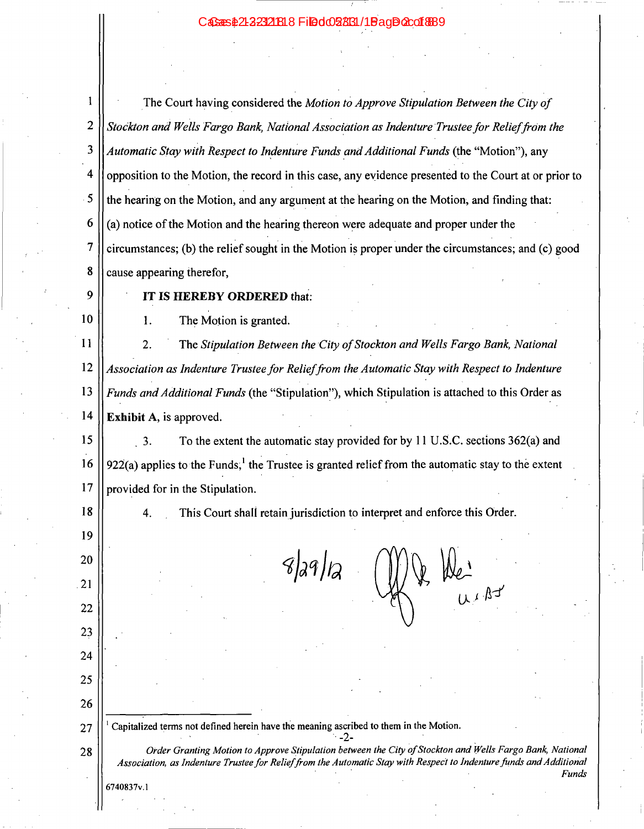#### Bac**Docof&B9 Eiladma**

|                | The Court having considered the Motion to Approve Stipulation Between the City of                          |
|----------------|------------------------------------------------------------------------------------------------------------|
| $\overline{c}$ | Stockton and Wells Fargo Bank, National Association as Indenture Trustee for Relief from the               |
| 3              | Automatic Stay with Respect to Indenture Funds and Additional Funds (the "Motion"), any                    |
| 4              | opposition to the Motion, the record in this case, any evidence presented to the Court at or prior to      |
| 5.             | the hearing on the Motion, and any argument at the hearing on the Motion, and finding that:                |
|                | (a) notice of the Motion and the hearing thereon were adequate and proper under the                        |
|                | $\vert$ circumstances; (b) the relief sought in the Motion is proper under the circumstances; and (c) good |
| R              | cause appearing therefor,                                                                                  |
| 9 I            | IT IS HEREBY ORDERED that:                                                                                 |

10

The Motion is granted. 1.

11 The Stipulation Between the City of Stockton and Wells Fargo Bank, National 2. 12 Association as Indenture Trustee for Relief from the Automatic Stay with Respect to Indenture 13 Funds and Additional Funds (the "Stipulation"), which Stipulation is attached to this Order as 14 Exhibit A, is approved.

15  $3.$ To the extent the automatic stay provided for by 11 U.S.C. sections 362(a) and 16 922(a) applies to the Funds,<sup>1</sup> the Trustee is granted relief from the automatic stay to the extent 17 provided for in the Stipulation.

18

This Court shall retain jurisdiction to interpret and enforce this Order.  $\overline{4}$ .

19  $8|29|2$ 20  $we$ <br> $u \wedge 8t$ 21  $22$ 23 24 25 26 Capitalized terms not defined herein have the meaning ascribed to them in the Motion. 27  $-2-$ Order Granting Motion to Approve Stipulation between the City of Stockton and Wells Fargo Bank, National 28 Association, as Indenture Trustee for Relief from the Automatic Stay with Respect to Indenture funds and Additional 6740837v.1

Funds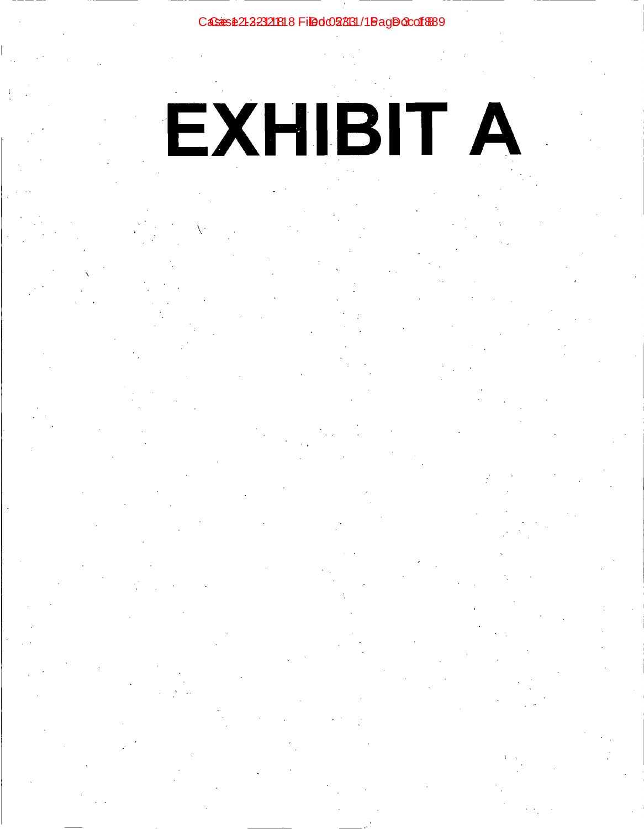# CaSans \$21232121818 Filed 028031/1 Bag DoCof \$89

# EXHIBIT A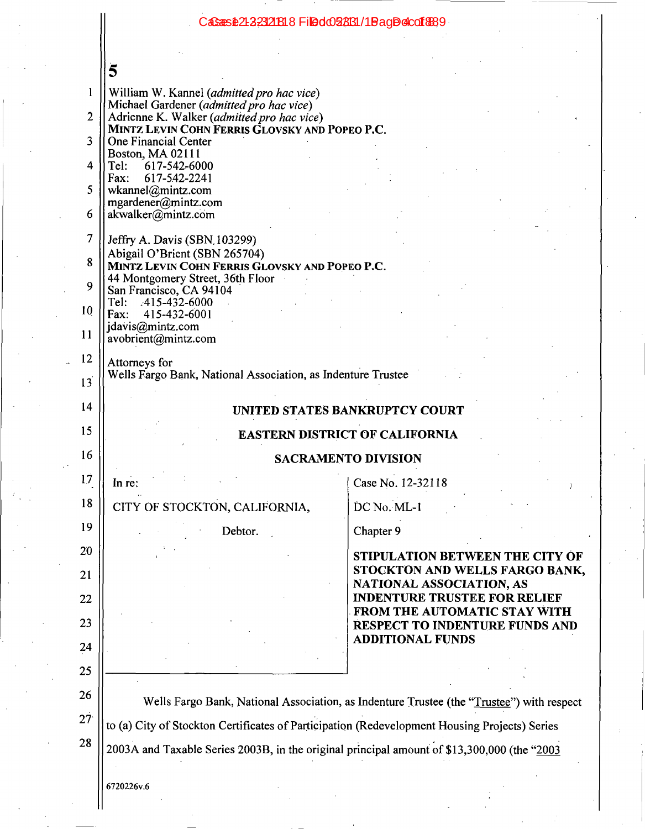# CaSe 12-23218 8 Filed 028131 / 1 Bag De 1889

|                 | CaSaas\$21223121818FiDeld028631/1BagDe1co18689                                                                                                                                             |                                                                       |
|-----------------|--------------------------------------------------------------------------------------------------------------------------------------------------------------------------------------------|-----------------------------------------------------------------------|
|                 |                                                                                                                                                                                            |                                                                       |
|                 | 5                                                                                                                                                                                          |                                                                       |
| 1               | William W. Kannel (admitted pro hac vice)                                                                                                                                                  |                                                                       |
| $\overline{2}$  | Michael Gardener (admitted pro hac vice)<br>Adrienne K. Walker (admitted pro hac vice)                                                                                                     |                                                                       |
| 3               | MINTZ LEVIN COHN FERRIS GLOVSKY AND POPEO P.C.<br>One Financial Center                                                                                                                     |                                                                       |
| 4               | Boston, MA 02111<br>617-542-6000<br>Tel:                                                                                                                                                   |                                                                       |
| 5               | 617-542-2241<br>Fax:<br>wkannel@mintz.com                                                                                                                                                  |                                                                       |
| 6               | mgardener@mintz.com<br>akwalker@mintz.com                                                                                                                                                  |                                                                       |
| 7               |                                                                                                                                                                                            |                                                                       |
| 8               | Jeffry A. Davis (SBN 103299)<br>Abigail O'Brient (SBN 265704)                                                                                                                              |                                                                       |
|                 | MINTZ LEVIN COHN FERRIS GLOVSKY AND POPEO P.C.<br>44 Montgomery Street, 36th Floor                                                                                                         |                                                                       |
| 9               | San Francisco, CA 94104<br>Tel: 415-432-6000                                                                                                                                               |                                                                       |
| 10              | 415-432-6001<br>Fax:<br>jdavis@mintz.com                                                                                                                                                   |                                                                       |
| 11              | avobrient@mintz.com                                                                                                                                                                        |                                                                       |
| 12              | Attorneys for<br>Wells Fargo Bank, National Association, as Indenture Trustee                                                                                                              |                                                                       |
| 13              |                                                                                                                                                                                            |                                                                       |
| 14              |                                                                                                                                                                                            | UNITED STATES BANKRUPTCY COURT                                        |
| 15              |                                                                                                                                                                                            | <b>EASTERN DISTRICT OF CALIFORNIA</b>                                 |
| 16              |                                                                                                                                                                                            | <b>SACRAMENTO DIVISION</b>                                            |
| 17              | Inre:                                                                                                                                                                                      | Case No. 12-32118                                                     |
| 18              | CITY OF STOCKTON, CALIFORNIA,                                                                                                                                                              | DC No. ML-1                                                           |
| 19              | Debtor.                                                                                                                                                                                    | Chapter 9                                                             |
| 20              |                                                                                                                                                                                            | STIPULATION BETWEEN THE CITY OF                                       |
| 21              |                                                                                                                                                                                            | STOCKTON AND WELLS FARGO BANK,<br>NATIONAL ASSOCIATION, AS            |
| 22              |                                                                                                                                                                                            | <b>INDENTURE TRUSTEE FOR RELIEF</b>                                   |
| 23              |                                                                                                                                                                                            | FROM THE AUTOMATIC STAY WITH<br><b>RESPECT TO INDENTURE FUNDS AND</b> |
| 24              |                                                                                                                                                                                            | <b>ADDITIONAL FUNDS</b>                                               |
| 25              |                                                                                                                                                                                            |                                                                       |
| 26              |                                                                                                                                                                                            |                                                                       |
| 27 <sup>°</sup> | Wells Fargo Bank, National Association, as Indenture Trustee (the "Trustee") with respect<br>to (a) City of Stockton Certificates of Participation (Redevelopment Housing Projects) Series |                                                                       |
| 28              | 2003A and Taxable Series 2003B, in the original principal amount of \$13,300,000 (the "2003                                                                                                |                                                                       |
|                 |                                                                                                                                                                                            |                                                                       |
|                 | 6720226v.6                                                                                                                                                                                 |                                                                       |
|                 |                                                                                                                                                                                            |                                                                       |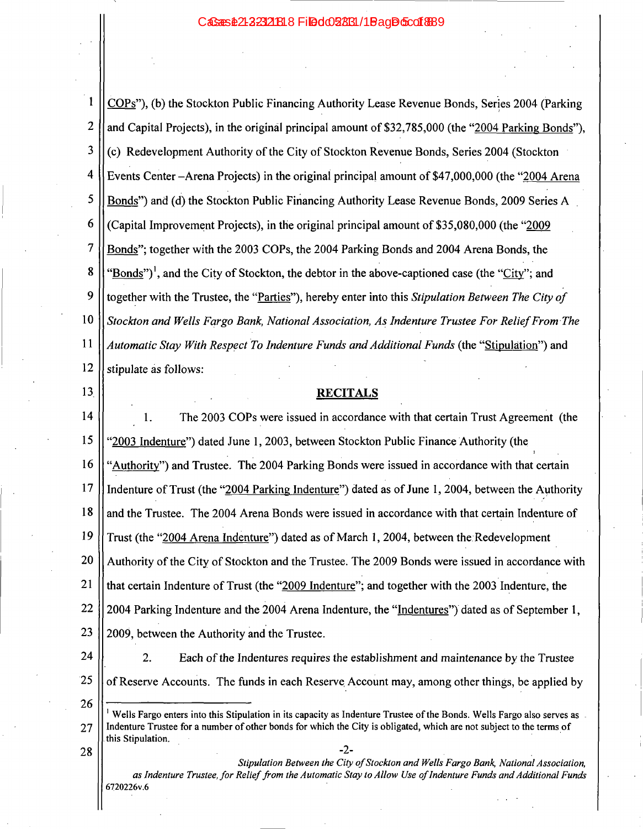| $\mathbf{1}$   | COPs"), (b) the Stockton Public Financing Authority Lease Revenue Bonds, Series 2004 (Parking                                             |
|----------------|-------------------------------------------------------------------------------------------------------------------------------------------|
| $\overline{2}$ | and Capital Projects), in the original principal amount of \$32,785,000 (the "2004 Parking Bonds"),                                       |
| 3              | (c) Redevelopment Authority of the City of Stockton Revenue Bonds, Series 2004 (Stockton                                                  |
| 4              | Events Center - Arena Projects) in the original principal amount of \$47,000,000 (the "2004 Arena                                         |
| 5              | Bonds") and (d) the Stockton Public Financing Authority Lease Revenue Bonds, 2009 Series A                                                |
| 6              | (Capital Improvement Projects), in the original principal amount of \$35,080,000 (the "2009"                                              |
| 7              | Bonds"; together with the 2003 COPs, the 2004 Parking Bonds and 2004 Arena Bonds, the                                                     |
| 8              | "Bonds") <sup>1</sup> , and the City of Stockton, the debtor in the above-captioned case (the "City"; and                                 |
| 9              | together with the Trustee, the "Parties"), hereby enter into this Stipulation Between The City of                                         |
| 10             | Stockton and Wells Fargo Bank, National Association, As Indenture Trustee For Relief From The                                             |
| 11             | Automatic Stay With Respect To Indenture Funds and Additional Funds (the "Stipulation") and                                               |
| 12             | stipulate as follows:                                                                                                                     |
| 13             | <b>RECITALS</b>                                                                                                                           |
| 14             | The 2003 COPs were issued in accordance with that certain Trust Agreement (the<br>1.                                                      |
| 15             | '2003 Indenture") dated June 1, 2003, between Stockton Public Finance Authority (the                                                      |
| 16             | "Authority") and Trustee. The 2004 Parking Bonds were issued in accordance with that certain                                              |
| 17             | Indenture of Trust (the "2004 Parking Indenture") dated as of June 1, 2004, between the Authority                                         |
| 18             | and the Trustee. The 2004 Arena Bonds were issued in accordance with that certain Indenture of                                            |
| 19             | Trust (the "2004 Arena Indenture") dated as of March 1, 2004, between the Redevelopment                                                   |
| 20             | Authority of the City of Stockton and the Trustee. The 2009 Bonds were issued in accordance with                                          |
| 21             | that certain Indenture of Trust (the "2009 Indenture"; and together with the 2003 Indenture, the                                          |
| 22             | 2004 Parking Indenture and the 2004 Arena Indenture, the "Indentures") dated as of September 1,                                           |
| 23             | 2009, between the Authority and the Trustee.                                                                                              |
| 24             | Each of the Indentures requires the establishment and maintenance by the Trustee<br>2.                                                    |
| 25             | of Reserve Accounts. The funds in each Reserve Account may, among other things, be applied by                                             |
| 26             | Wells Fargo enters into this Stipulation in its capacity as Indenture Trustee of the Bonds. Wells Fargo also serves as                    |
| 27             | Indenture Trustee for a number of other bonds for which the City is obligated, which are not subject to the terms of<br>this Stipulation. |
| 28             | $-2-$<br>Stipulation Between the City of Stockton and Wells Fargo Bank, National Association,                                             |
|                | as Indenture Trustee, for Relief from the Automatic Stay to Allow Use of Indenture Funds and Additional Funds<br>6720226v.6               |

Ш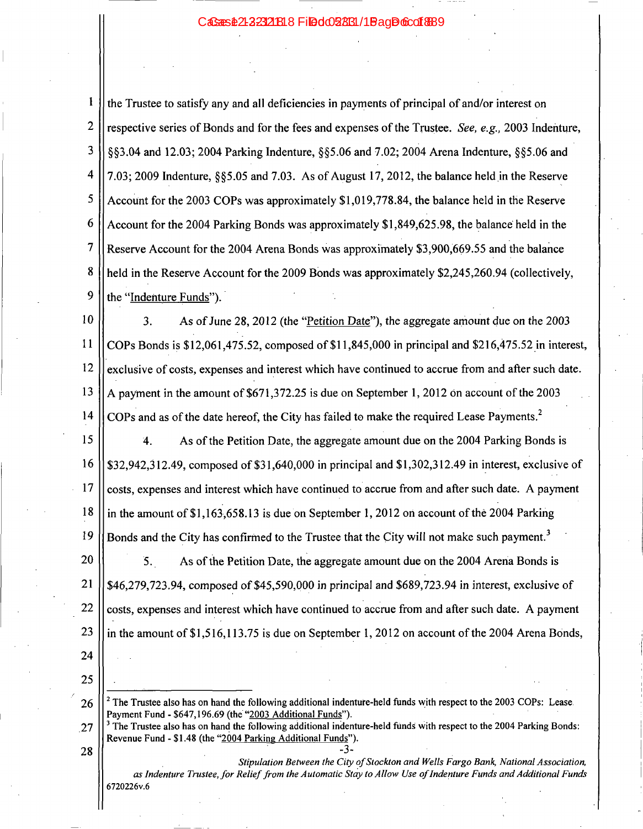### CaSaasite21-223121818 Filedd28831/1BaaDofco16889

Ŧ the Trustee to satisfy any and all deficiencies in payments of principal of and/or interest on  $\overline{2}$ respective series of Bonds and for the fees and expenses of the Trustee. See, e.g., 2003 Indenture, 3 \$83.04 and 12.03; 2004 Parking Indenture, \$85.06 and 7.02; 2004 Arena Indenture, \$85.06 and  $\overline{\mathbf{4}}$ 7.03; 2009 Indenture, §§5.05 and 7.03. As of August 17, 2012, the balance held in the Reserve 5 Account for the 2003 COPs was approximately \$1,019,778.84, the balance held in the Reserve 6 Account for the 2004 Parking Bonds was approximately \$1,849,625.98, the balance held in the  $\overline{7}$ Reserve Account for the 2004 Arena Bonds was approximately \$3,900,669.55 and the balance 8 held in the Reserve Account for the 2009 Bonds was approximately \$2,245,260.94 (collectively, 9 the "Indenture Funds").

10 As of June 28, 2012 (the "Petition Date"), the aggregate amount due on the 2003 3. 11 COPs Bonds is \$12,061,475.52, composed of \$11,845,000 in principal and \$216,475.52 in interest, 12 exclusive of costs, expenses and interest which have continued to accrue from and after such date. 13 A payment in the amount of \$671,372.25 is due on September 1, 2012 on account of the 2003 14 COPs and as of the date hereof, the City has failed to make the required Lease Payments.<sup>2</sup>

15 As of the Petition Date, the aggregate amount due on the 2004 Parking Bonds is 4. 16 \$32,942,312.49, composed of  $$31,640,000$  in principal and  $$1,302,312.49$  in interest, exclusive of 17 costs, expenses and interest which have continued to accrue from and after such date. A payment 18 in the amount of \$1,163,658.13 is due on September 1, 2012 on account of the 2004 Parking 19 Bonds and the City has confirmed to the Trustee that the City will not make such payment.<sup>3</sup>

20 3. As of the Petition Date, the aggregate amount due on the 2004 Arena Bonds is 21 \$46,279,723.94, composed of \$45,590,000 in principal and \$689,723.94 in interest, exclusive of 22 costs, expenses and interest which have continued to accrue from and after such date. A payment 23 in the amount of \$1,516,113.75 is due on September 1, 2012 on account of the 2004 Arena Bonds,

24 25

 $2$  The Trustee also has on hand the following additional indenture-held funds with respect to the 2003 COPs: Lease. 26 Payment Fund - \$647,196.69 (the "2003 Additional Funds").

 $3$  The Trustee also has on hand the following additional indenture-held funds with respect to the 2004 Parking Bonds: 27 Revenue Fund - \$1.48 (the "2004 Parking Additional Funds"). 28 -3-

Stipulation Between the City of Stockton and Wells Fargo Bank, National Association, as Indenture Trustee, for Relief from the Automatic Stay to Allow Use of Indenture Funds and Additional Funds 6720226v.6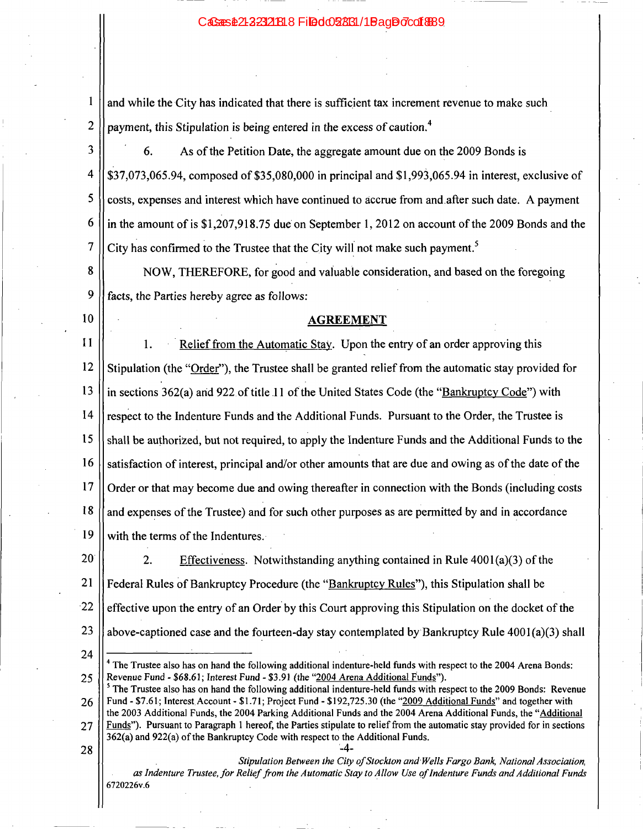### CaSans \$21232321818 Filed 028631/1 Bag Do7co1889

and while the City has indicated that there is sufficient tax increment revenue to make such payment, this Stipulation is being entered in the excess of caution.<sup>4</sup>

3 6. As of the Petition Date, the aggregate amount due on the 2009 Bonds is 4 \$37,073,065.94, composed of \$35,080,000 in principal and \$1,993,065.94 in interest, exclusive of 5 costs, expenses and interest which have continued to accrue from and after such date. A payment 6 in the amount of is \$1,207,918.75 due on September 1, 2012 on account of the 2009 Bonds and the City has confirmed to the Trustee that the City will not make such payment.<sup>5</sup>  $\overline{7}$ 

8 NOW, THEREFORE, for good and valuable consideration, and based on the foregoing 9 facts, the Parties hereby agree as follows:

10

 $\mathbf{1}$ 

 $\overline{c}$ 

## **AGREEMENT**

 $11$ Relief from the Automatic Stay. Upon the entry of an order approving this 1.  $12$ Stipulation (the "Order"), the Trustee shall be granted relief from the automatic stay provided for 13 in sections 362(a) and 922 of title 11 of the United States Code (the "Bankruptcy Code") with  $14$ respect to the Indenture Funds and the Additional Funds. Pursuant to the Order, the Trustee is 15 shall be authorized, but not required, to apply the Indenture Funds and the Additional Funds to the 16 satisfaction of interest, principal and/or other amounts that are due and owing as of the date of the 17 Order or that may become due and owing thereafter in connection with the Bonds (including costs 18 and expenses of the Trustee) and for such other purposes as are permitted by and in accordance 19 with the terms of the Indentures.

20  $2.$ Effectiveness. Notwithstanding anything contained in Rule  $4001(a)(3)$  of the 21 Federal Rules of Bankruptcy Procedure (the "Bankruptcy Rules"), this Stipulation shall be  $-22$ effective upon the entry of an Order by this Court approving this Stipulation on the docket of the 23 above-captioned case and the fourteen-day stay contemplated by Bankruptcy Rule  $4001(a)(3)$  shall

28

24

Stipulation Between the City of Stockton and Wells Fargo Bank, National Association, as Indenture Trustee, for Relief from the Automatic Stay to Allow Use of Indenture Funds and Additional Funds 6720226v.6

 $-4-$ 

The Trustee also has on hand the following additional indenture-held funds with respect to the 2004 Arena Bonds: Revenue Fund - \$68.61; Interest Fund - \$3.91 (the "2004 Arena Additional Funds"). 25

<sup>&</sup>lt;sup>5</sup> The Trustee also has on hand the following additional indenture-held funds with respect to the 2009 Bonds: Revenue Fund - \$7.61; Interest Account - \$1.71; Project Fund - \$192,725.30 (the "2009 Additional Funds" and together with 26 the 2003 Additional Funds, the 2004 Parking Additional Funds and the 2004 Arena Additional Funds, the "Additional Funds"). Pursuant to Paragraph 1 hereof, the Parties stipulate to relief from the automatic stay provided for in sections 27 362(a) and 922(a) of the Bankruptcy Code with respect to the Additional Funds.